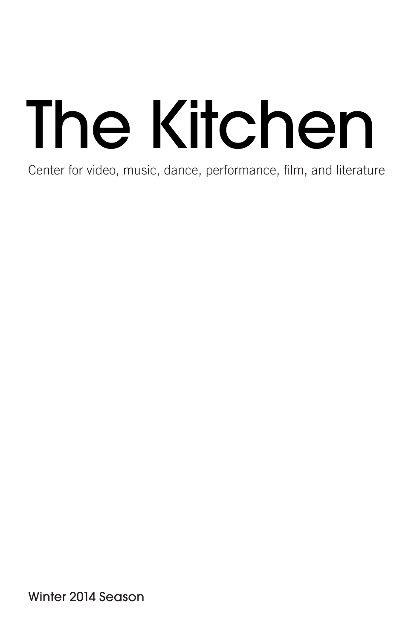# The Kitchen

Center for video, music, dance, performance, film, and literature

Winter 2014 Season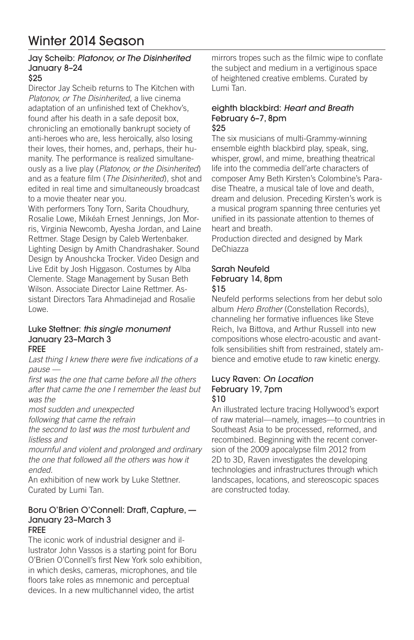# Winter 2014 Season

#### Jay Scheib: *Platonov, or The Disinherited* January 8–24 \$25

Director Jay Scheib returns to The Kitchen with *Platonov, or The Disinherited*, a live cinema adaptation of an unfinished text of Chekhov's, found after his death in a safe deposit box, chronicling an emotionally bankrupt society of anti-heroes who are, less heroically, also losing their loves, their homes, and, perhaps, their humanity. The performance is realized simultaneously as a live play (*Platonov, or the Disinherited*) and as a feature film (*The Disinherited*), shot and edited in real time and simultaneously broadcast to a movie theater near you.

With performers Tony Torn, Sarita Choudhury, Rosalie Lowe, Mikéah Ernest Jennings, Jon Morris, Virginia Newcomb, Ayesha Jordan, and Laine Rettmer. Stage Design by Caleb Wertenbaker. Lighting Design by Amith Chandrashaker. Sound Design by Anoushcka Trocker. Video Design and Live Edit by Josh Higgason. Costumes by Alba Clemente. Stage Management by Susan Beth Wilson. Associate Director Laine Rettmer. Assistant Directors Tara Ahmadinejad and Rosalie Lowe.

#### Luke Stettner: *this single monument* January 23–March 3 FREE

Last thing I knew there were five indications of a

*pause —* 

first was the one that came before all the others after that came the one I remember the least but *was the* 

most sudden and unexpected

following that came the refrain

the second to last was the most turbulent and *listless and* 

mournful and violent and prolonged and ordinary the one that followed all the others was how it *ended.*

An exhibition of new work by Luke Stettner. Curated by Lumi Tan.

## Boru O'Brien O'Connell: Draft, Capture, — January 23–March 3

#### FREE

The iconic work of industrial designer and illustrator John Vassos is a starting point for Boru O'Brien O'Connell's first New York solo exhibition, in which desks, cameras, microphones, and tile floors take roles as mnemonic and perceptual devices. In a new multichannel video, the artist

mirrors tropes such as the filmic wipe to conflate the subject and medium in a vertiginous space of heightened creative emblems. Curated by Lumi Tan.

#### eighth blackbird: *Heart and Breath* February 6–7, 8pm \$25

The six musicians of multi-Grammy-winning ensemble eighth blackbird play, speak, sing, whisper, growl, and mime, breathing theatrical life into the commedia dell'arte characters of composer Amy Beth Kirsten's Colombine's Paradise Theatre, a musical tale of love and death, dream and delusion. Preceding Kirsten's work is a musical program spanning three centuries yet unified in its passionate attention to themes of heart and breath.

Production directed and designed by Mark DeChiazza

#### Sarah Neufeld February 14, 8pm \$15

Neufeld performs selections from her debut solo album *Hero Brother* (Constellation Records), channeling her formative influences like Steve Reich, Iva Bittova, and Arthur Russell into new compositions whose electro-acoustic and avantfolk sensibilities shift from restrained, stately ambience and emotive etude to raw kinetic energy.

#### Lucy Raven: *On Location* February 19, 7pm \$10

An illustrated lecture tracing Hollywood's export of raw material—namely, images—to countries in Southeast Asia to be processed, reformed, and recombined. Beginning with the recent conversion of the 2009 apocalypse film 2012 from 2D to 3D, Raven investigates the developing technologies and infrastructures through which landscapes, locations, and stereoscopic spaces are constructed today.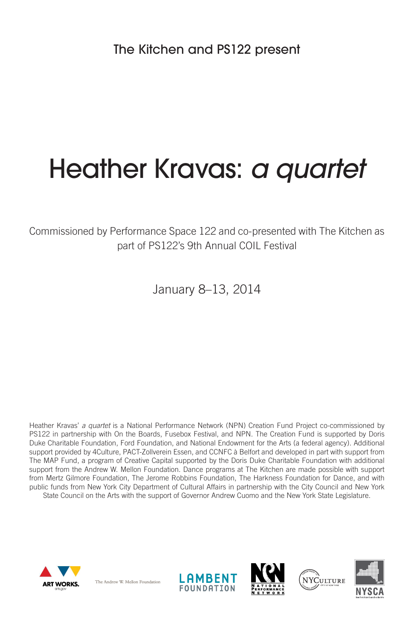# Heather Kravas: *a quartet*

Commissioned by Performance Space 122 and co-presented with The Kitchen as part of PS122's 9th Annual COIL Festival

January 8–13, 2014

Heather Kravas' *a quartet* is a National Performance Network (NPN) Creation Fund Project co-commissioned by PS122 in partnership with On the Boards, Fusebox Festival, and NPN. The Creation Fund is supported by Doris Duke Charitable Foundation, Ford Foundation, and National Endowment for the Arts (a federal agency). Additional support provided by 4Culture, PACT-Zollverein Essen, and CCNFC à Belfort and developed in part with support from The MAP Fund, a program of Creative Capital supported by the Doris Duke Charitable Foundation with additional support from the Andrew W. Mellon Foundation. Dance programs at The Kitchen are made possible with support from Mertz Gilmore Foundation, The Jerome Robbins Foundation, The Harkness Foundation for Dance, and with public funds from New York City Department of Cultural Affairs in partnership with the City Council and New York State Council on the Arts with the support of Governor Andrew Cuomo and the New York State Legislature.



The Andrew W. Mellon Foundation







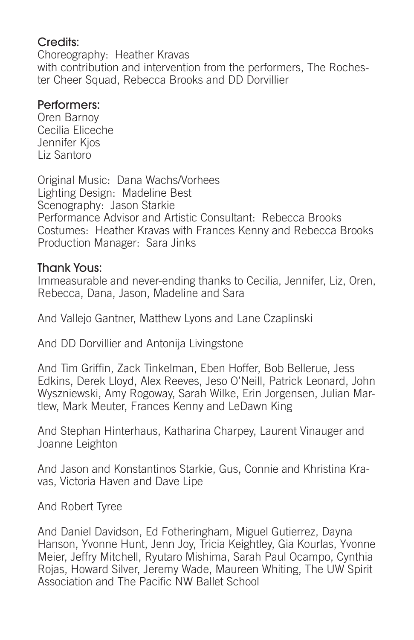# Credits:

Choreography: Heather Kravas with contribution and intervention from the performers. The Rochester Cheer Squad, Rebecca Brooks and DD Dorvillier

# Performers:

Oren Barnoy Cecilia Eliceche Jennifer Kjos Liz Santoro

Original Music: Dana Wachs/Vorhees Lighting Design: Madeline Best Scenography: Jason Starkie Performance Advisor and Artistic Consultant: Rebecca Brooks Costumes: Heather Kravas with Frances Kenny and Rebecca Brooks Production Manager: Sara Jinks

## Thank Yous:

Immeasurable and never-ending thanks to Cecilia, Jennifer, Liz, Oren, Rebecca, Dana, Jason, Madeline and Sara

And Vallejo Gantner, Matthew Lyons and Lane Czaplinski

And DD Dorvillier and Antonija Livingstone

And Tim Griffin, Zack Tinkelman, Eben Hoffer, Bob Bellerue, Jess Edkins, Derek Lloyd, Alex Reeves, Jeso O'Neill, Patrick Leonard, John Wyszniewski, Amy Rogoway, Sarah Wilke, Erin Jorgensen, Julian Martlew, Mark Meuter, Frances Kenny and LeDawn King

And Stephan Hinterhaus, Katharina Charpey, Laurent Vinauger and Joanne Leighton

And Jason and Konstantinos Starkie, Gus, Connie and Khristina Kravas, Victoria Haven and Dave Lipe

And Robert Tyree

And Daniel Davidson, Ed Fotheringham, Miguel Gutierrez, Dayna Hanson, Yvonne Hunt, Jenn Joy, Tricia Keightley, Gia Kourlas, Yvonne Meier, Jeffry Mitchell, Ryutaro Mishima, Sarah Paul Ocampo, Cynthia Rojas, Howard Silver, Jeremy Wade, Maureen Whiting, The UW Spirit Association and The Pacific NW Ballet School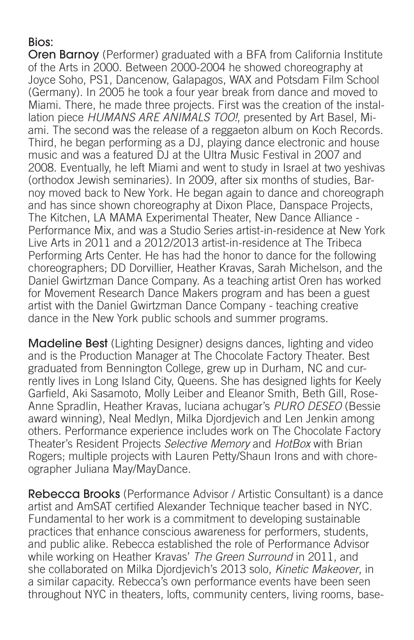# Bios:

Oren Barnoy (Performer) graduated with a BFA from California Institute of the Arts in 2000. Between 2000-2004 he showed choreography at Joyce Soho, PS1, Dancenow, Galapagos, WAX and Potsdam Film School (Germany). In 2005 he took a four year break from dance and moved to Miami. There, he made three projects. First was the creation of the installation piece *HUMANS ARE ANIMALS TOO!*, presented by Art Basel, Miami. The second was the release of a reggaeton album on Koch Records. Third, he began performing as a DJ, playing dance electronic and house music and was a featured DJ at the Ultra Music Festival in 2007 and 2008. Eventually, he left Miami and went to study in Israel at two yeshivas (orthodox Jewish seminaries). In 2009, after six months of studies, Barnoy moved back to New York. He began again to dance and choreograph and has since shown choreography at Dixon Place, Danspace Projects, The Kitchen, LA MAMA Experimental Theater, New Dance Alliance - Performance Mix, and was a Studio Series artist-in-residence at New York Live Arts in 2011 and a 2012/2013 artist-in-residence at The Tribeca Performing Arts Center. He has had the honor to dance for the following choreographers; DD Dorvillier, Heather Kravas, Sarah Michelson, and the Daniel Gwirtzman Dance Company. As a teaching artist Oren has worked for Movement Research Dance Makers program and has been a guest artist with the Daniel Gwirtzman Dance Company - teaching creative dance in the New York public schools and summer programs.

Madeline Best (Lighting Designer) designs dances, lighting and video and is the Production Manager at The Chocolate Factory Theater. Best graduated from Bennington College, grew up in Durham, NC and currently lives in Long Island City, Queens. She has designed lights for Keely Garfield, Aki Sasamoto, Molly Leiber and Eleanor Smith, Beth Gill, Rose-Anne Spradlin, Heather Kravas, luciana achugar's *PURO DESEO* (Bessie award winning), Neal Medlyn, Milka Djordjevich and Len Jenkin among others. Performance experience includes work on The Chocolate Factory Theater's Resident Projects Selective Memory and HotBox with Brian Rogers; multiple projects with Lauren Petty/Shaun Irons and with choreographer Juliana May/MayDance.

Rebecca Brooks (Performance Advisor / Artistic Consultant) is a dance artist and AmSAT certified Alexander Technique teacher based in NYC. Fundamental to her work is a commitment to developing sustainable practices that enhance conscious awareness for performers, students, and public alike. Rebecca established the role of Performance Advisor while working on Heather Kravas' *The Green Surround* in 2011, and she collaborated on Milka Djordjevich's 2013 solo, Kinetic Makeover, in a similar capacity. Rebecca's own performance events have been seen throughout NYC in theaters, lofts, community centers, living rooms, base-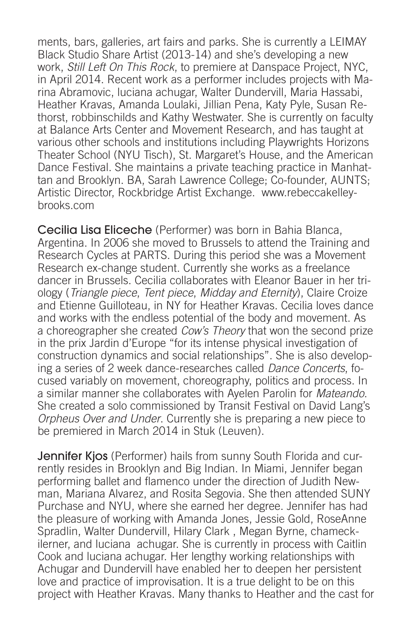ments, bars, galleries, art fairs and parks. She is currently a LEIMAY Black Studio Share Artist (2013-14) and she's developing a new work, Still Left On This Rock, to premiere at Danspace Project, NYC, in April 2014. Recent work as a performer includes projects with Marina Abramovic, luciana achugar, Walter Dundervill, Maria Hassabi, Heather Kravas, Amanda Loulaki, Jillian Pena, Katy Pyle, Susan Rethorst, robbinschilds and Kathy Westwater. She is currently on faculty at Balance Arts Center and Movement Research, and has taught at various other schools and institutions including Playwrights Horizons Theater School (NYU Tisch), St. Margaret's House, and the American Dance Festival. She maintains a private teaching practice in Manhattan and Brooklyn. BA, Sarah Lawrence College; Co-founder, AUNTS; Artistic Director, Rockbridge Artist Exchange. www.rebeccakelleybrooks.com

Cecilia Lisa Eliceche (Performer) was born in Bahia Blanca, Argentina. In 2006 she moved to Brussels to attend the Training and Research Cycles at PARTS. During this period she was a Movement Research ex-change student. Currently she works as a freelance dancer in Brussels. Cecilia collaborates with Eleanor Bauer in her triology (Triangle piece, Tent piece, Midday and Eternity), Claire Croize and Etienne Guilloteau, in NY for Heather Kravas. Cecilia loves dance and works with the endless potential of the body and movement. As a choreographer she created Cow's Theory that won the second prize in the prix Jardin d'Europe "for its intense physical investigation of construction dynamics and social relationships". She is also developing a series of 2 week dance-researches called Dance Concerts, focused variably on movement, choreography, politics and process. In a similar manner she collaborates with Ayelen Parolin for *Mateando*. She created a solo commissioned by Transit Festival on David Lang's *Orpheus Over and Under*. Currently she is preparing a new piece to be premiered in March 2014 in Stuk (Leuven).

Jennifer Kjos (Performer) hails from sunny South Florida and currently resides in Brooklyn and Big Indian. In Miami, Jennifer began performing ballet and flamenco under the direction of Judith Newman, Mariana Alvarez, and Rosita Segovia. She then attended SUNY Purchase and NYU, where she earned her degree. Jennifer has had the pleasure of working with Amanda Jones, Jessie Gold, RoseAnne Spradlin, Walter Dundervill, Hilary Clark , Megan Byrne, chameckilerner, and luciana achugar. She is currently in process with Caitlin Cook and luciana achugar. Her lengthy working relationships with Achugar and Dundervill have enabled her to deepen her persistent love and practice of improvisation. It is a true delight to be on this project with Heather Kravas. Many thanks to Heather and the cast for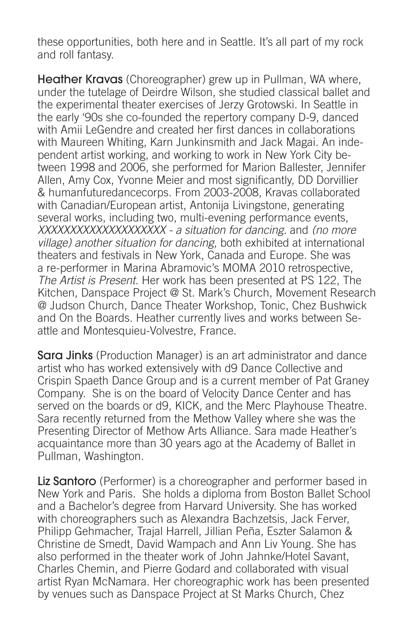these opportunities, both here and in Seattle. It's all part of my rock and roll fantasy.

Heather Kravas (Choreographer) grew up in Pullman, WA where, under the tutelage of Deirdre Wilson, she studied classical ballet and the experimental theater exercises of Jerzy Grotowski. In Seattle in the early '90s she co-founded the repertory company D-9, danced with Amii LeGendre and created her first dances in collaborations with Maureen Whiting, Karn Junkinsmith and Jack Magai. An independent artist working, and working to work in New York City between 1998 and 2006, she performed for Marion Ballester, Jennifer Allen, Amy Cox, Yvonne Meier and most significantly, DD Dorvillier & humanfuturedancecorps. From 2003-2008, Kravas collaborated with Canadian/European artist, Antonija Livingstone, generating several works, including two, multi-evening performance events, XXXXXXXXXXXXXXXXXXXX - a situation for dancing. and (no more village) another situation for dancing, both exhibited at international theaters and festivals in New York, Canada and Europe. She was a re-performer in Marina Abramovic's MOMA 2010 retrospective, *The Artist is Present*. Her work has been presented at PS 122, The Kitchen, Danspace Project @ St. Mark's Church, Movement Research @ Judson Church, Dance Theater Workshop, Tonic, Chez Bushwick and On the Boards. Heather currently lives and works between Seattle and Montesquieu-Volvestre, France.

**Sara Jinks** (Production Manager) is an art administrator and dance artist who has worked extensively with d9 Dance Collective and Crispin Spaeth Dance Group and is a current member of Pat Graney Company. She is on the board of Velocity Dance Center and has served on the boards or d9, KICK, and the Merc Playhouse Theatre. Sara recently returned from the Methow Valley where she was the Presenting Director of Methow Arts Alliance. Sara made Heather's acquaintance more than 30 years ago at the Academy of Ballet in Pullman, Washington.

Liz Santoro (Performer) is a choreographer and performer based in New York and Paris. She holds a diploma from Boston Ballet School and a Bachelor's degree from Harvard University. She has worked with choreographers such as Alexandra Bachzetsis, Jack Ferver, Philipp Gehmacher, Trajal Harrell, Jillian Peña, Eszter Salamon & Christine de Smedt, David Wampach and Ann Liv Young. She has also performed in the theater work of John Jahnke/Hotel Savant, Charles Chemin, and Pierre Godard and collaborated with visual artist Ryan McNamara. Her choreographic work has been presented by venues such as Danspace Project at St Marks Church, Chez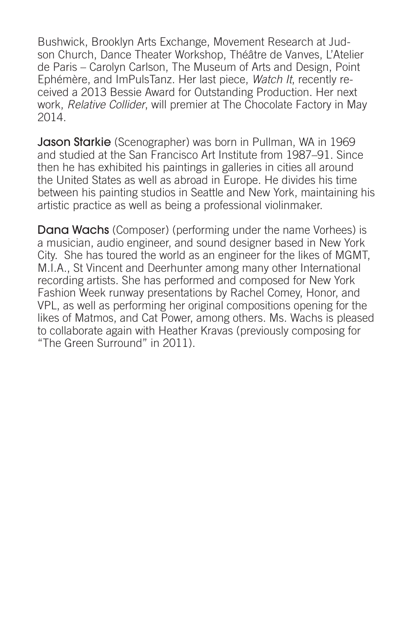Bushwick, Brooklyn Arts Exchange, Movement Research at Judson Church, Dance Theater Workshop, Théâtre de Vanves, L'Atelier de Paris – Carolyn Carlson, The Museum of Arts and Design, Point Ephémère, and ImPulsTanz. Her last piece, Watch It, recently received a 2013 Bessie Award for Outstanding Production. Her next work, *Relative Collider*, will premier at The Chocolate Factory in May 2014.

**Jason Starkie** (Scenographer) was born in Pullman, WA in 1969 and studied at the San Francisco Art Institute from 1987–91. Since then he has exhibited his paintings in galleries in cities all around the United States as well as abroad in Europe. He divides his time between his painting studios in Seattle and New York, maintaining his artistic practice as well as being a professional violinmaker.

Dana Wachs (Composer) (performing under the name Vorhees) is a musician, audio engineer, and sound designer based in New York City. She has toured the world as an engineer for the likes of MGMT, M.I.A., St Vincent and Deerhunter among many other International recording artists. She has performed and composed for New York Fashion Week runway presentations by Rachel Comey, Honor, and VPL, as well as performing her original compositions opening for the likes of Matmos, and Cat Power, among others. Ms. Wachs is pleased to collaborate again with Heather Kravas (previously composing for "The Green Surround" in 2011).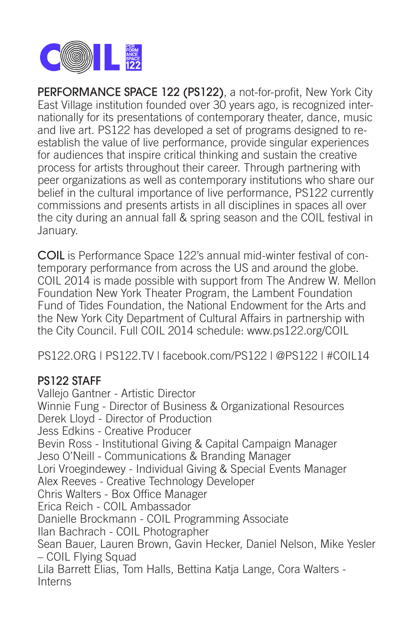

PERFORMANCE SPACE 122 (PS122), a not-for-profit, New York City East Village institution founded over 30 years ago, is recognized internationally for its presentations of contemporary theater, dance, music and live art. PS122 has developed a set of programs designed to reestablish the value of live performance, provide singular experiences for audiences that inspire critical thinking and sustain the creative process for artists throughout their career. Through partnering with peer organizations as well as contemporary institutions who share our belief in the cultural importance of live performance, PS122 currently commissions and presents artists in all disciplines in spaces all over the city during an annual fall & spring season and the COIL festival in January.

COIL is Performance Space 122's annual mid-winter festival of contemporary performance from across the US and around the globe. COIL 2014 is made possible with support from The Andrew W. Mellon Foundation New York Theater Program, the Lambent Foundation Fund of Tides Foundation, the National Endowment for the Arts and the New York City Department of Cultural Affairs in partnership with the City Council. Full COIL 2014 schedule: www.ps122.org/COIL

PS122.ORG | PS122.TV | facebook.com/PS122 | @PS122 | #COIL14

# PS122 STAFF

Vallejo Gantner - Artistic Director Winnie Fung - Director of Business & Organizational Resources Derek Lloyd - Director of Production Jess Edkins - Creative Producer Bevin Ross - Institutional Giving & Capital Campaign Manager Jeso O'Neill - Communications & Branding Manager Lori Vroegindewey - Individual Giving & Special Events Manager Alex Reeves - Creative Technology Developer Chris Walters - Box Office Manager Erica Reich - COIL Ambassador Danielle Brockmann - COIL Programming Associate Ilan Bachrach - COIL Photographer Sean Bauer, Lauren Brown, Gavin Hecker, Daniel Nelson, Mike Yesler – COIL Flying Squad Lila Barrett Elias, Tom Halls, Bettina Katja Lange, Cora Walters - **Interns**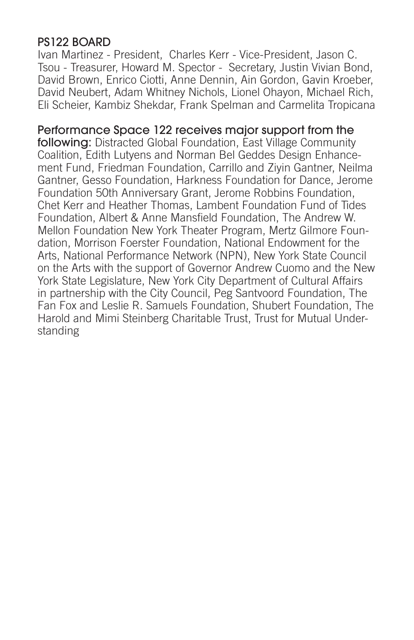# PS122 BOARD

Ivan Martinez - President, Charles Kerr - Vice-President, Jason C. Tsou - Treasurer, Howard M. Spector - Secretary, Justin Vivian Bond, David Brown, Enrico Ciotti, Anne Dennin, Ain Gordon, Gavin Kroeber, David Neubert, Adam Whitney Nichols, Lionel Ohayon, Michael Rich, Eli Scheier, Kambiz Shekdar, Frank Spelman and Carmelita Tropicana

# Performance Space 122 receives major support from the

following: Distracted Global Foundation, East Village Community Coalition, Edith Lutyens and Norman Bel Geddes Design Enhancement Fund, Friedman Foundation, Carrillo and Ziyin Gantner, Neilma Gantner, Gesso Foundation, Harkness Foundation for Dance, Jerome Foundation 50th Anniversary Grant, Jerome Robbins Foundation, Chet Kerr and Heather Thomas, Lambent Foundation Fund of Tides Foundation, Albert & Anne Mansfield Foundation, The Andrew W. Mellon Foundation New York Theater Program, Mertz Gilmore Foundation, Morrison Foerster Foundation, National Endowment for the Arts, National Performance Network (NPN), New York State Council on the Arts with the support of Governor Andrew Cuomo and the New York State Legislature, New York City Department of Cultural Affairs in partnership with the City Council, Peg Santvoord Foundation, The Fan Fox and Leslie R. Samuels Foundation, Shubert Foundation, The Harold and Mimi Steinberg Charitable Trust, Trust for Mutual Understanding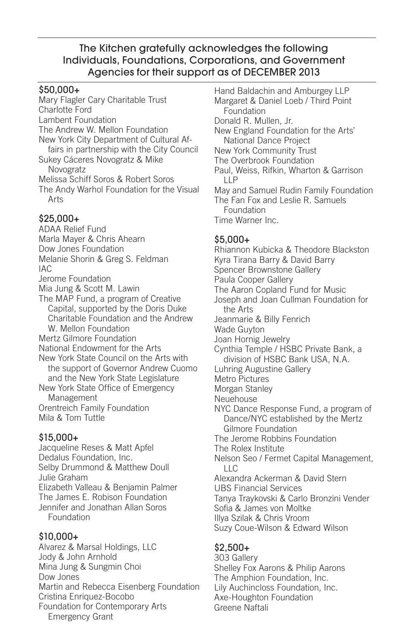#### \$50,000+

Mary Flagler Cary Charitable Trust Charlotte Ford Lambent Foundation The Andrew W. Mellon Foundation New York City Department of Cultural Affairs in partnership with the City Council Sukey Cáceres Novogratz & Mike Novogratz Melissa Schiff Soros & Robert Soros The Andy Warhol Foundation for the Visual Arts

#### \$25,000+

ADAA Relief Fund Marla Mayer & Chris Ahearn Dow Jones Foundation Melanie Shorin & Greg S. Feldman IAC Jerome Foundation Mia Jung & Scott M. Lawin The MAP Fund, a program of Creative Capital, supported by the Doris Duke Charitable Foundation and the Andrew W. Mellon Foundation Mertz Gilmore Foundation National Endowment for the Arts New York State Council on the Arts with the support of Governor Andrew Cuomo and the New York State Legislature New York State Office of Emergency Management Orentreich Family Foundation Mila & Tom Tuttle

#### \$15,000+

Jacqueline Reses & Matt Apfel Dedalus Foundation, Inc. Selby Drummond & Matthew Doull Julie Graham Elizabeth Valleau & Benjamin Palmer The James E. Robison Foundation Jennifer and Jonathan Allan Soros Foundation

#### \$10,000+

Alvarez & Marsal Holdings, LLC Jody & John Arnhold Mina Jung & Sungmin Choi Dow Jones Martin and Rebecca Eisenberg Foundation Cristina Enriquez-Bocobo Foundation for Contemporary Arts Emergency Grant

Hand Baldachin and Amburgey LLP Margaret & Daniel Loeb / Third Point Foundation Donald R. Mullen, Jr. New England Foundation for the Arts' National Dance Project New York Community Trust The Overbrook Foundation Paul, Weiss, Rifkin, Wharton & Garrison  $IIP$ May and Samuel Rudin Family Foundation The Fan Fox and Leslie R. Samuels Foundation Time Warner Inc.  $$5.000+$ Rhiannon Kubicka & Theodore Blackston Kyra Tirana Barry & David Barry Spencer Brownstone Gallery Paula Cooper Gallery The Aaron Copland Fund for Music Joseph and Joan Cullman Foundation for the Arts Jeanmarie & Billy Fenrich Wade Guyton Joan Hornig Jewelry Cynthia Temple / HSBC Private Bank, a division of HSBC Bank USA, N.A. Luhring Augustine Gallery Metro Pictures Morgan Stanley Neuehouse NYC Dance Response Fund, a program of Dance/NYC established by the Mertz Gilmore Foundation The Jerome Robbins Foundation The Rolex Institute Nelson Seo / Fermet Capital Management,  $\sqcup$  C Alexandra Ackerman & David Stern UBS Financial Services Tanya Traykovski & Carlo Bronzini Vender Sofia & James von Moltke Illya Szilak & Chris Vroom Suzy Coue-Wilson & Edward Wilson

#### \$2,500+

303 Gallery Shelley Fox Aarons & Philip Aarons The Amphion Foundation, Inc. Lily Auchincloss Foundation, Inc. Axe-Houghton Foundation Greene Naftali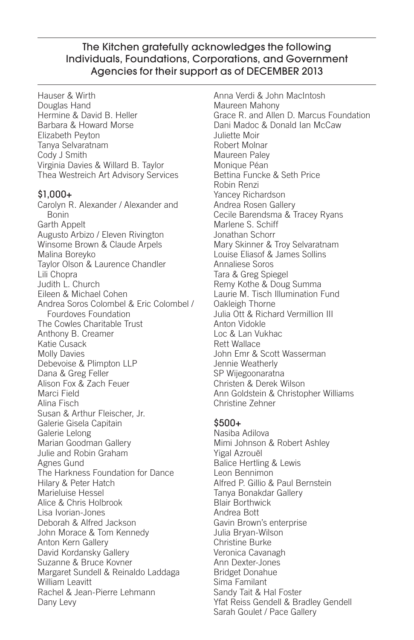Hauser & Wirth Douglas Hand Hermine & David B. Heller Barbara & Howard Morse Elizabeth Peyton Tanya Selvaratnam Cody J Smith Virginia Davies & Willard B. Taylor Thea Westreich Art Advisory Services \$1,000+ Carolyn R. Alexander / Alexander and Bonin Garth Appelt Augusto Arbizo / Eleven Rivington Winsome Brown & Claude Arpels Malina Boreyko Taylor Olson & Laurence Chandler Lili Chopra Judith L. Church Eileen & Michael Cohen Andrea Soros Colombel & Eric Colombel / Fourdoves Foundation The Cowles Charitable Trust Anthony B. Creamer Katie Cusack Molly Davies Debevoise & Plimpton LLP Dana & Greg Feller Alison Fox & Zach Feuer Marci Field Alina Fisch Susan & Arthur Fleischer, Jr. Galerie Gisela Capitain Galerie Lelong Marian Goodman Gallery Julie and Robin Graham Agnes Gund The Harkness Foundation for Dance Hilary & Peter Hatch Marieluise Hessel Alice & Chris Holbrook Lisa Ivorian-Jones Deborah & Alfred Jackson John Morace & Tom Kennedy Anton Kern Gallery David Kordansky Gallery Suzanne & Bruce Kovner Margaret Sundell & Reinaldo Laddaga William Leavitt Rachel & Jean-Pierre Lehmann Dany Levy

Anna Verdi & John MacIntosh Maureen Mahony Grace R. and Allen D. Marcus Foundation Dani Madoc & Donald Ian McCaw Juliette Moir Robert Molnar Maureen Paley Monique Péan Bettina Funcke & Seth Price Robin Renzi Yancey Richardson Andrea Rosen Gallery Cecile Barendsma & Tracey Ryans Marlene S. Schiff Jonathan Schorr Mary Skinner & Troy Selvaratnam Louise Eliasof & James Sollins Annaliese Soros Tara & Greg Spiegel Remy Kothe & Doug Summa Laurie M. Tisch Illumination Fund Oakleigh Thorne Julia Ott & Richard Vermillion III Anton Vidokle Loc & Lan Vukhac Rett Wallace John Emr & Scott Wasserman Jennie Weatherly SP Wijegoonaratna Christen & Derek Wilson Ann Goldstein & Christopher Williams Christine Zehner

#### \$500+

Nasiba Adilova Mimi Johnson & Robert Ashley Yigal Azrouël Balice Hertling & Lewis Leon Bennimon Alfred P. Gillio & Paul Bernstein Tanya Bonakdar Gallery Blair Borthwick Andrea Bott Gavin Brown's enterprise Julia Bryan-Wilson Christine Burke Veronica Cavanagh Ann Dexter-Jones Bridget Donahue Sima Familant Sandy Tait & Hal Foster Yfat Reiss Gendell & Bradley Gendell Sarah Goulet / Pace Gallery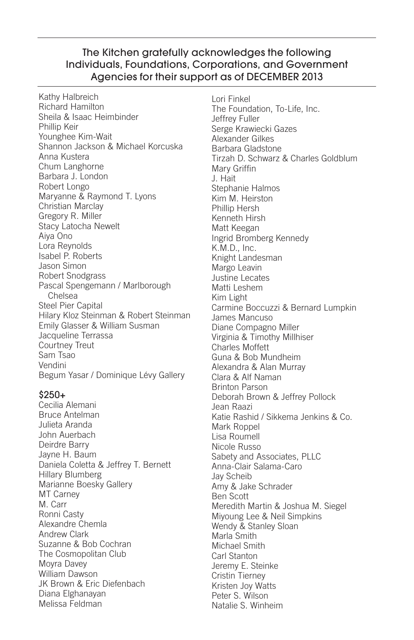Kathy Halbreich Richard Hamilton Sheila & Isaac Heimbinder Phillip Keir Younghee Kim-Wait Shannon Jackson & Michael Korcuska Anna Kustera Chum Langhorne Barbara J. London Robert Longo Maryanne & Raymond T. Lyons Christian Marclay Gregory R. Miller Stacy Latocha Newelt Aiya Ono Lora Reynolds Isabel P. Roberts Jason Simon Robert Snodgrass Pascal Spengemann / Marlborough Chelsea Steel Pier Capital Hilary Kloz Steinman & Robert Steinman Emily Glasser & William Susman Jacqueline Terrassa Courtney Treut Sam Tsao Vendini Begum Yasar / Dominique Lévy Gallery

#### \$250+

Cecilia Alemani Bruce Antelman Julieta Aranda John Auerbach Deirdre Barry Jayne H. Baum Daniela Coletta & Jeffrey T. Bernett Hillary Blumberg Marianne Boesky Gallery MT Carney M. Carr Ronni Casty Alexandre Chemla Andrew Clark Suzanne & Bob Cochran The Cosmopolitan Club Moyra Davey William Dawson JK Brown & Eric Diefenbach Diana Elghanayan Melissa Feldman

Lori Finkel The Foundation, To-Life, Inc. Jeffrey Fuller Serge Krawiecki Gazes Alexander Gilkes Barbara Gladstone Tirzah D. Schwarz & Charles Goldblum Mary Griffin J. Hait Stephanie Halmos Kim M. Heirston Phillip Hersh Kenneth Hirsh Matt Keegan Ingrid Bromberg Kennedy K.M.D., Inc. Knight Landesman Margo Leavin Justine Lecates Matti Leshem Kim Light Carmine Boccuzzi & Bernard Lumpkin James Mancuso Diane Compagno Miller Virginia & Timothy Millhiser Charles Moffett Guna & Bob Mundheim Alexandra & Alan Murray Clara & Alf Naman Brinton Parson Deborah Brown & Jeffrey Pollock Jean Raazi Katie Rashid / Sikkema Jenkins & Co. Mark Roppel Lisa Roumell Nicole Russo Sabety and Associates, PLLC Anna-Clair Salama-Caro Jay Scheib Amy & Jake Schrader Ben Scott Meredith Martin & Joshua M. Siegel Miyoung Lee & Neil Simpkins Wendy & Stanley Sloan Marla Smith Michael Smith Carl Stanton Jeremy E. Steinke Cristin Tierney Kristen Joy Watts Peter S. Wilson Natalie S. Winheim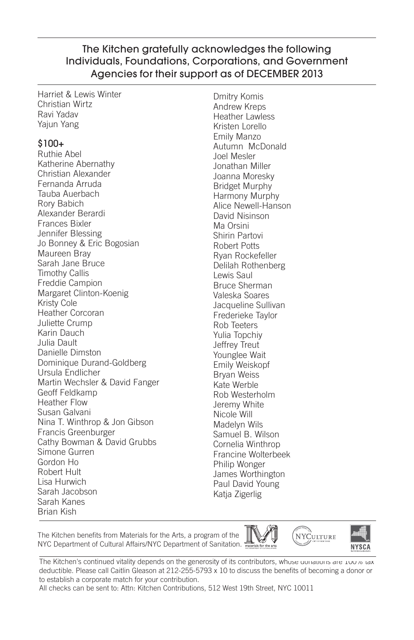Harriet & Lewis Winter Christian Wirtz Ravi Yadav Yajun Yang

#### \$100+

Ruthie Abel Katherine Abernathy Christian Alexander Fernanda Arruda Tauba Auerbach Rory Babich Alexander Berardi Frances Bixler Jennifer Blessing Jo Bonney & Eric Bogosian Maureen Bray Sarah Jane Bruce Timothy Callis Freddie Campion Margaret Clinton-Koenig Kristy Cole Heather Corcoran Juliette Crump Karin Dauch Julia Dault Danielle Dimston Dominique Durand-Goldberg Ursula Endlicher Martin Wechsler & David Fanger Geoff Feldkamp Heather Flow Susan Galvani Nina T. Winthrop & Jon Gibson Francis Greenburger Cathy Bowman & David Grubbs Simone Gurren Gordon Ho Robert Hult Lisa Hurwich Sarah Jacobson Sarah Kanes Brian Kish

Dmitry Komis Andrew Kreps Heather Lawless Kristen Lorello Emily Manzo Autumn McDonald Joel Mesler Jonathan Miller Joanna Moresky Bridget Murphy Harmony Murphy Alice Newell-Hanson David Nisinson Ma Orsini Shirin Partovi Robert Potts Ryan Rockefeller Delilah Rothenberg Lewis Saul Bruce Sherman Valeska Soares Jacqueline Sullivan Frederieke Taylor Rob Teeters Yulia Topchiy Jeffrey Treut Younglee Wait Emily Weiskopf Bryan Weiss Kate Werble Rob Westerholm Jeremy White Nicole Will Madelyn Wils Samuel B. Wilson Cornelia Winthrop Francine Wolterbeek Philip Wonger James Worthington Paul David Young Katja Zigerlig

The Kitchen benefits from Materials for the Arts, a program of the NYC Department of Cultural Affairs/NYC Department of Sanitation.





**NYCULTURE** 

The Kitchen's continued vitality depends on the generosity of its contributors, whose donations are 100% tax deductible. Please call Caitlin Gleason at 212-255-5793 x 10 to discuss the benefits of becoming a donor or to establish a corporate match for your contribution.

All checks can be sent to: Attn: Kitchen Contributions, 512 West 19th Street, NYC 10011